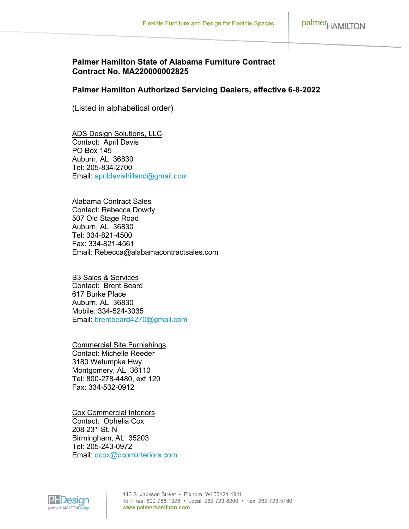## **Palmer Hamilton State of Alabama Furniture Contract Contract No. MA220000002825**

## **Palmer Hamilton Authorized Servicing Dealers, effective 6-8-2022**

(Listed in alphabetical order)

ADS Design Solutions, LLC Contact: April Davis PO Box 145 Auburn, AL 36830 Tel: 205-834-2700 Email: [aprildavishilland@gmail.com](mailto:aprildavishilland@gmail.com)

Alabama Contract Sales Contact: Rebecca Dowdy 507 Old Stage Road Auburn, AL 36830 Tel: 334-821-4500 Fax: 334-821-4561 Email: Rebecca@alabamacontractsales.com

B3 Sales & Services Contact: Brent Beard 617 Burke Place Auburn, AL 36830 Mobile: 334-524-3035 Email: [brentbeard4270@gmail.com](mailto:brentbeard4270@gmail.com)

Commercial Site Furnishings Contact: Michelle Reeder 3180 Wetumpka Hwy Montgomery, AL 36110 Tel: 800-278-4480, ext 120 Fax: 334-532-0912

Cox Commercial Interiors Contact: Ophelia Cox 208 23rd St. N Birmingham, AL 35203 Tel: 205-243-0972 Email: [ocox@ccominteriors.com](mailto:ocox@ccominteriors.com)

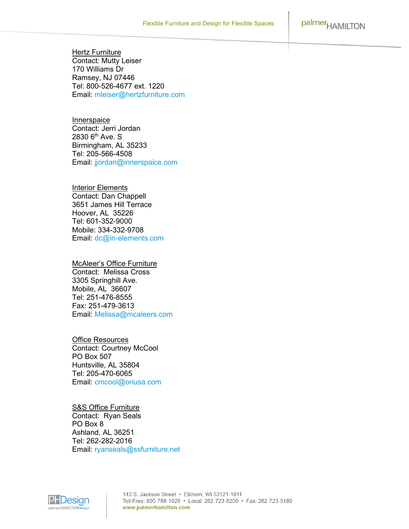palmer<sub>HAMILTON</sub>

**Hertz Furniture** Contact: Mutty Leiser 170 Williams Dr Ramsey, NJ 07446 Tel: 800-526-4677 ext. 1220 Email: [mleiser@hertzfurniture.com](mailto:mleiser@hertzfurniture.com)

**Innerspaice** Contact: Jerri Jordan 2830 6<sup>th</sup> Ave. S Birmingham, AL 35233 Tel: 205-566-4508 Email: [jjordan@innerspaice.com](mailto:jjordan@innerspaice.com)

Interior Elements Contact: Dan Chappell 3651 James Hill Terrace Hoover, AL 35226 Tel: 601-352-9000 Mobile: 334-332-9708 Email: [dc@in-elements.com](mailto:dc@in-elements.com)

## McAleer's Office Furniture

Contact: Melissa Cross 3305 Springhill Ave. Mobile, AL 36607 Tel: 251-476-8555 Fax: 251-479-3613 Email: [Melissa@mcaleers.com](mailto:Melissa@mcaleers.com)

Office Resources Contact: Courtney McCool PO Box 507 Huntsville, AL 35804 Tel: 205-470-6065 Email: [cmcool@oriusa.com](mailto:cmcool@oriusa.com)

## **S&S Office Furniture**

Contact: Ryan Seals PO Box 8 Ashland, AL 36251 Tel: 262-282-2016 Email: [ryanseals@ssfurniture.net](mailto:ryanseals@ssfurniture.net)



143 S. Jackson Street · Elkhorn, WI 53121-1911 Toll Free: 800-788-1028 • Local: 262-723-8200 • Fax: 262-723-5180 www.palmerhamilton.com